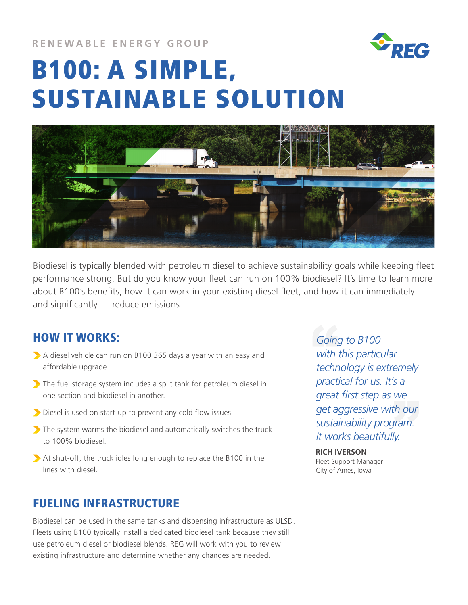**RENEWABLE ENERGY GROUP**



# B100: A SIMPLE, SUSTAINABLE SOLUTION



Biodiesel is typically blended with petroleum diesel to achieve sustainability goals while keeping fleet performance strong. But do you know your fleet can run on 100% biodiesel? It's time to learn more about B100's benefits, how it can work in your existing diesel fleet, and how it can immediately and significantly — reduce emissions.

## HOW IT WORKS:

- A diesel vehicle can run on B100 365 days a year with an easy and affordable upgrade.
- The fuel storage system includes a split tank for petroleum diesel in one section and biodiesel in another.
- Diesel is used on start-up to prevent any cold flow issues.
- The system warms the biodiesel and automatically switches the truck to 100% biodiesel.
- At shut-off, the truck idles long enough to replace the B100 in the lines with diesel.

## FUELING INFRASTRUCTURE

Biodiesel can be used in the same tanks and dispensing infrastructure as ULSD. Fleets using B100 typically install a dedicated biodiesel tank because they still use petroleum diesel or biodiesel blends. REG will work with you to review existing infrastructure and determine whether any changes are needed.

Goin!<br>with<br>techr **get aggressive with our sustainability program.**<br> *It works beautifully.***<br>
<b>PICH IVERSON** *Going to B100 with this particular technology is extremely practical for us. It's a great first step as we sustainability program. It works beautifully.*

**RICH IVERSON** Fleet Support Manager City of Ames, Iowa